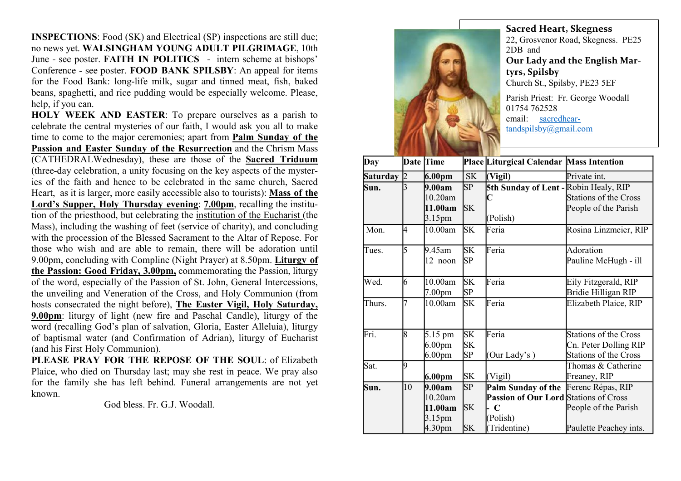INSPECTIONS: Food (SK) and Electrical (SP) inspections are still due; no news yet. WALSINGHAM YOUNG ADULT PILGRIMAGE, 10th June - see poster. FAITH IN POLITICS - intern scheme at bishops' Conference - see poster. FOOD BANK SPILSBY: An appeal for items for the Food Bank: long-life milk, sugar and tinned meat, fish, baked beans, spaghetti, and rice pudding would be especially welcome. Please, help, if you can.

HOLY WEEK AND EASTER: To prepare ourselves as a parish to celebrate the central mysteries of our faith, I would ask you all to make time to come to the major ceremonies; apart from Palm Sunday of the Passion and Easter Sunday of the Resurrection and the Chrism Mass (CATHEDRALWednesday), these are those of the Sacred Triduum (three-day celebration, a unity focusing on the key aspects of the mysteries of the faith and hence to be celebrated in the same church, Sacred Heart, as it is larger, more easily accessible also to tourists): Mass of the Lord's Supper, Holy Thursday evening: 7.00pm, recalling the institution of the priesthood, but celebrating the institution of the Eucharist (the Mass), including the washing of feet (service of charity), and concluding with the procession of the Blessed Sacrament to the Altar of Repose. For those who wish and are able to remain, there will be adoration until 9.00pm, concluding with Compline (Night Prayer) at 8.50pm. Liturgy of the Passion: Good Friday, 3.00pm, commemorating the Passion, liturgy of the word, especially of the Passion of St. John, General Intercessions, the unveiling and Veneration of the Cross, and Holy Communion (from hosts consecrated the night before), The Easter Vigil, Holy Saturday, 9.00pm: liturgy of light (new fire and Paschal Candle), liturgy of the word (recalling God's plan of salvation, Gloria, Easter Alleluia), liturgy of baptismal water (and Confirmation of Adrian), liturgy of Eucharist (and his First Holy Communion).

PLEASE PRAY FOR THE REPOSE OF THE SOUL: of Elizabeth Plaice, who died on Thursday last; may she rest in peace. We pray also for the family she has left behind. Funeral arrangements are not yet known.

God bless. Fr. G.J. Woodall.



Sacred Heart, Skegness 22, Grosvenor Road, Skegness. PE25 2DB and Our Lady and the English Martyrs, Spilsby Church St., Spilsby, PE23 5EF Parish Priest: Fr. George Woodall 01754 762528 email: sacredhear-

| Day             |              | Date Time          |           | Place Liturgical Calendar Mass Intention     |                              |
|-----------------|--------------|--------------------|-----------|----------------------------------------------|------------------------------|
| <b>Saturday</b> | $\mathbf{D}$ | 6.00 <sub>pm</sub> | <b>SK</b> | (Vigil)                                      | Private int.                 |
| Sun.            |              | 9.00am             | SP        | 5th Sunday of Lent - Robin Healy, RIP        |                              |
|                 |              | 10.20am            |           |                                              | <b>Stations of the Cross</b> |
|                 |              | 11.00am            | <b>SK</b> |                                              | People of the Parish         |
|                 |              | 3.15pm             |           | (Polish)                                     |                              |
| Mon.            | 4            | 10.00am            | <b>SK</b> | Feria                                        | Rosina Linzmeier, RIP        |
| Tues.           | 5            | 9.45am             | SK        | Feria                                        | Adoration                    |
|                 |              | 12 noon            | SP        |                                              | Pauline McHugh - ill         |
| Wed.            | 6            | 10.00am            | SK        | Feria                                        | Eily Fitzgerald, RIP         |
|                 |              | 7.00 <sub>pm</sub> | SP        |                                              | Bridie Hilligan RIP          |
| Thurs.          | 7            | 10.00am            | <b>SK</b> | Feria                                        | Elizabeth Plaice, RIP        |
| Fri.            | 8            | 5.15 pm            | <b>SK</b> | Feria                                        | Stations of the Cross        |
|                 |              | 6.00 <sub>pm</sub> | SΚ        |                                              | Cn. Peter Dolling RIP        |
|                 |              | 6.00 <sub>pm</sub> | SP        | (Our Lady's)                                 | <b>Stations of the Cross</b> |
| Sat.            | 19           |                    |           |                                              | Thomas & Catherine           |
|                 |              | 6.00pm             | SK        | (Vigil)                                      | Freaney, RIP                 |
| Sun.            | 10           | 9.00am             | SP        | Palm Sunday of the                           | Ferenc Répas, RIP            |
|                 |              | 10.20am            |           | <b>Passion of Our Lord Stations of Cross</b> |                              |
|                 |              | 11.00am            | <b>SK</b> | $\mathbf C$                                  | People of the Parish         |
|                 |              | 3.15pm             |           | (Polish)                                     |                              |
|                 |              | 4.30 <sub>pm</sub> | <b>SK</b> | (Tridentine)                                 | Paulette Peachey ints.       |